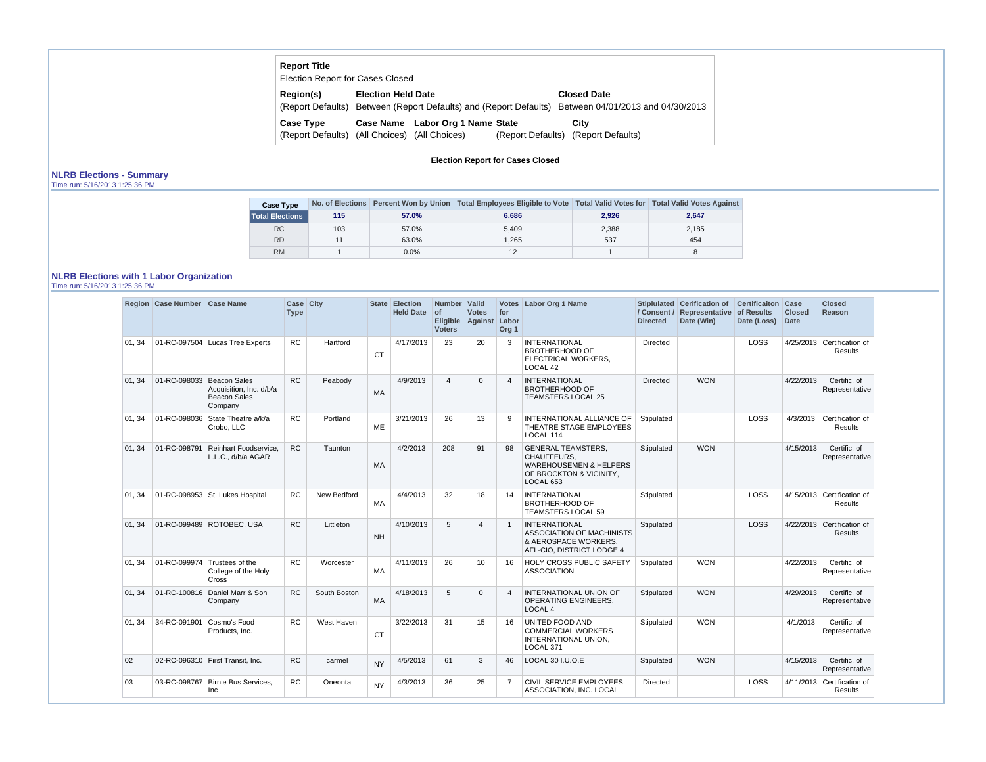| <b>Report Title</b><br><b>Election Report for Cases Closed</b> |                                                                   |                                   |
|----------------------------------------------------------------|-------------------------------------------------------------------|-----------------------------------|
| Region(s)                                                      | <b>Election Held Date</b>                                         | <b>Closed Date</b>                |
|                                                                | (Report Defaults) Between (Report Defaults) and (Report Defaults) | Between 04/01/2013 and 04/30/2013 |
| <b>Case Type</b>                                               | Labor Org 1 Name State<br><b>Case Name</b>                        | City                              |

(Report Defaults) (All Choices) (All Choices) (Report Defaults) (Report Defaults) **City**

**Election Report for Cases Closed**

## **NLRB Elections - Summary**

Time run: 5/16/2013 1:25:36 PM

| <b>Case Type</b>       |     |         | No. of Elections Percent Won by Union   Total Employees Eligible to Vote   Total Valid Votes for   Total Valid Votes Against |       |       |
|------------------------|-----|---------|------------------------------------------------------------------------------------------------------------------------------|-------|-------|
| <b>Total Elections</b> | 115 | 57.0%   | 6.686                                                                                                                        | 2,926 | 2,647 |
| <b>RC</b>              | 103 | 57.0%   | 5.409                                                                                                                        | 2,388 | 2,185 |
| <b>RD</b>              |     | 63.0%   | 1.265                                                                                                                        | 537   | 454   |
| <b>RM</b>              |     | $0.0\%$ | 12                                                                                                                           |       | 8     |

## **NLRB Elections with 1 Labor Organization**

Time run: 5/16/2013 1:25:36 PM

|        | Region Case Number Case Name |                                                                                  | Case City<br><b>Type</b> |              |           | <b>State Election</b><br>Held Date of | Number   Valid<br>Eligible Against Labor<br><b>Voters</b> | <b>Votes</b>   | for<br>Org <sub>1</sub> | Votes Labor Org 1 Name                                                                                                | <b>Directed</b> | Stiplulated Cerification of<br>/ Consent / Representative<br>Date (Win) | <b>Certificaiton Case</b><br>of Results<br>Date (Loss) | <b>Closed</b><br><b>Date</b> | <b>Closed</b><br>Reason                      |
|--------|------------------------------|----------------------------------------------------------------------------------|--------------------------|--------------|-----------|---------------------------------------|-----------------------------------------------------------|----------------|-------------------------|-----------------------------------------------------------------------------------------------------------------------|-----------------|-------------------------------------------------------------------------|--------------------------------------------------------|------------------------------|----------------------------------------------|
| 01, 34 |                              | 01-RC-097504 Lucas Tree Experts                                                  | <b>RC</b>                | Hartford     | <b>CT</b> | 4/17/2013                             | 23                                                        | 20             | 3                       | <b>INTERNATIONAL</b><br><b>BROTHERHOOD OF</b><br>ELECTRICAL WORKERS,<br>LOCAL 42                                      | Directed        |                                                                         | LOSS                                                   |                              | 4/25/2013 Certification of<br><b>Results</b> |
| 01, 34 | 01-RC-098033                 | <b>Beacon Sales</b><br>Acquisition, Inc. d/b/a<br><b>Beacon Sales</b><br>Company | <b>RC</b>                | Peabody      | MA        | 4/9/2013                              | $\overline{4}$                                            | $\Omega$       | $\overline{4}$          | <b>INTERNATIONAL</b><br><b>BROTHERHOOD OF</b><br><b>TEAMSTERS LOCAL 25</b>                                            | <b>Directed</b> | <b>WON</b>                                                              |                                                        | 4/22/2013                    | Certific. of<br>Representative               |
| 01, 34 | 01-RC-098036                 | State Theatre a/k/a<br>Crobo, LLC                                                | <b>RC</b>                | Portland     | <b>ME</b> | 3/21/2013                             | 26                                                        | 13             | 9                       | INTERNATIONAL ALLIANCE OF<br>THEATRE STAGE EMPLOYEES<br>LOCAL 114                                                     | Stipulated      |                                                                         | LOSS                                                   | 4/3/2013                     | Certification of<br>Results                  |
| 01, 34 | 01-RC-098791                 | Reinhart Foodservice.<br>L.L.C., d/b/a AGAR                                      | RC                       | Taunton      | MA        | 4/2/2013                              | 208                                                       | 91             | 98                      | <b>GENERAL TEAMSTERS,</b><br>CHAUFFEURS.<br><b>WAREHOUSEMEN &amp; HELPERS</b><br>OF BROCKTON & VICINITY,<br>LOCAL 653 | Stipulated      | <b>WON</b>                                                              |                                                        | 4/15/2013                    | Certific. of<br>Representative               |
| 01, 34 |                              | 01-RC-098953 St. Lukes Hospital                                                  | <b>RC</b>                | New Bedford  | <b>MA</b> | 4/4/2013                              | 32                                                        | 18             | 14                      | <b>INTERNATIONAL</b><br><b>BROTHERHOOD OF</b><br><b>TEAMSTERS LOCAL 59</b>                                            | Stipulated      |                                                                         | LOSS                                                   |                              | 4/15/2013 Certification of<br>Results        |
| 01, 34 |                              | 01-RC-099489 ROTOBEC, USA                                                        | <b>RC</b>                | Littleton    | <b>NH</b> | 4/10/2013                             | 5                                                         | $\overline{4}$ | $\overline{1}$          | <b>INTERNATIONAL</b><br><b>ASSOCIATION OF MACHINISTS</b><br>& AEROSPACE WORKERS,<br>AFL-CIO, DISTRICT LODGE 4         | Stipulated      |                                                                         | LOSS                                                   |                              | 4/22/2013 Certification of<br>Results        |
| 01, 34 | 01-RC-099974 Trustees of the | College of the Holy<br>Cross                                                     | <b>RC</b>                | Worcester    | <b>MA</b> | 4/11/2013                             | 26                                                        | 10             | 16                      | HOLY CROSS PUBLIC SAFETY<br><b>ASSOCIATION</b>                                                                        | Stipulated      | <b>WON</b>                                                              |                                                        | 4/22/2013                    | Certific. of<br>Representative               |
| 01, 34 |                              | 01-RC-100816 Daniel Marr & Son<br>Company                                        | <b>RC</b>                | South Boston | <b>MA</b> | 4/18/2013                             | 5                                                         | $\Omega$       | $\overline{4}$          | INTERNATIONAL UNION OF<br><b>OPERATING ENGINEERS.</b><br>LOCAL 4                                                      | Stipulated      | <b>WON</b>                                                              |                                                        | 4/29/2013                    | Certific. of<br>Representative               |
| 01, 34 | 34-RC-091901                 | Cosmo's Food<br>Products, Inc.                                                   | <b>RC</b>                | West Haven   | <b>CT</b> | 3/22/2013                             | 31                                                        | 15             | 16                      | UNITED FOOD AND<br><b>COMMERCIAL WORKERS</b><br>INTERNATIONAL UNION,<br>LOCAL 371                                     | Stipulated      | <b>WON</b>                                                              |                                                        | 4/1/2013                     | Certific. of<br>Representative               |
| 02     |                              | 02-RC-096310 First Transit, Inc.                                                 | <b>RC</b>                | carmel       | <b>NY</b> | 4/5/2013                              | 61                                                        | 3              | 46                      | LOCAL 30 I.U.O.E                                                                                                      | Stipulated      | <b>WON</b>                                                              |                                                        | 4/15/2013                    | Certific. of<br>Representative               |
| 03     | 03-RC-098767                 | Birnie Bus Services.<br>Inc                                                      | <b>RC</b>                | Oneonta      | <b>NY</b> | 4/3/2013                              | 36                                                        | 25             | $\overline{7}$          | CIVIL SERVICE EMPLOYEES<br>ASSOCIATION, INC. LOCAL                                                                    | <b>Directed</b> |                                                                         | LOSS                                                   |                              | 4/11/2013 Certification of<br><b>Results</b> |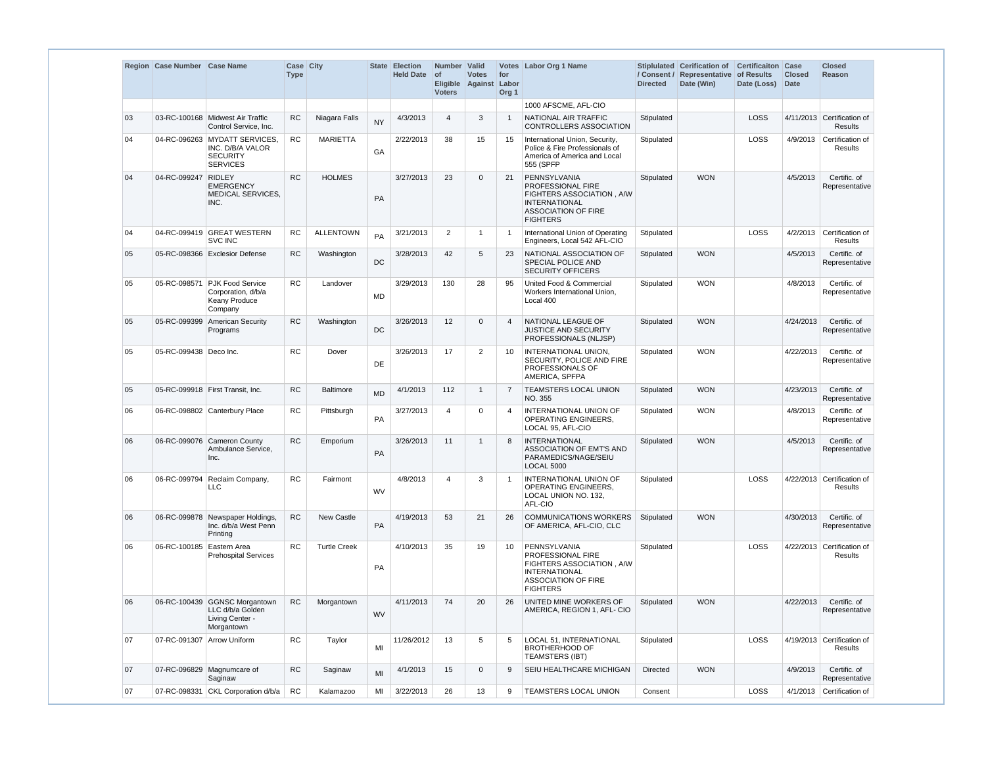|    | Region Case Number Case Name |                                                                                         | Case City<br><b>Type</b> |                     |           | <b>State Election</b><br><b>Held Date</b> | Number Valid<br><b>of</b><br><b>Voters</b> | <b>Votes</b><br>Eligible Against Labor | for<br>Org <sub>1</sub> | Votes Labor Org 1 Name                                                                                                                  | <b>Directed</b> | Stiplulated Cerification of<br>/ Consent / Representative of Results<br>Date (Win) | <b>Certificaiton</b><br>Date (Loss) | Case<br><b>Closed</b><br><b>Date</b> | <b>Closed</b><br>Reason                      |
|----|------------------------------|-----------------------------------------------------------------------------------------|--------------------------|---------------------|-----------|-------------------------------------------|--------------------------------------------|----------------------------------------|-------------------------|-----------------------------------------------------------------------------------------------------------------------------------------|-----------------|------------------------------------------------------------------------------------|-------------------------------------|--------------------------------------|----------------------------------------------|
|    |                              |                                                                                         |                          |                     |           |                                           |                                            |                                        |                         | 1000 AFSCME, AFL-CIO                                                                                                                    |                 |                                                                                    |                                     |                                      |                                              |
| 03 |                              | 03-RC-100168   Midwest Air Traffic<br>Control Service, Inc.                             | <b>RC</b>                | Niagara Falls       | <b>NY</b> | 4/3/2013                                  | $\overline{4}$                             | 3                                      | $\overline{1}$          | NATIONAL AIR TRAFFIC<br>CONTROLLERS ASSOCIATION                                                                                         | Stipulated      |                                                                                    | LOSS                                |                                      | 4/11/2013 Certification of<br><b>Results</b> |
| 04 |                              | 04-RC-096263 MYDATT SERVICES.<br>INC. D/B/A VALOR<br><b>SECURITY</b><br><b>SERVICES</b> | <b>RC</b>                | <b>MARIETTA</b>     | GA        | 2/22/2013                                 | 38                                         | 15                                     | 15                      | International Union, Security,<br>Police & Fire Professionals of<br>America of America and Local<br>555 (SPFP                           | Stipulated      |                                                                                    | LOSS                                | 4/9/2013                             | Certification of<br>Results                  |
| 04 | 04-RC-099247                 | <b>RIDLEY</b><br><b>EMERGENCY</b><br><b>MEDICAL SERVICES,</b><br>INC.                   | <b>RC</b>                | <b>HOLMES</b>       | <b>PA</b> | 3/27/2013                                 | 23                                         | $\overline{0}$                         | 21                      | PENNSYLVANIA<br>PROFESSIONAL FIRE<br>FIGHTERS ASSOCIATION, A/W<br><b>INTERNATIONAL</b><br><b>ASSOCIATION OF FIRE</b><br><b>FIGHTERS</b> | Stipulated      | <b>WON</b>                                                                         |                                     | 4/5/2013                             | Certific, of<br>Representative               |
| 04 |                              | 04-RC-099419 GREAT WESTERN<br><b>SVC INC</b>                                            | <b>RC</b>                | <b>ALLENTOWN</b>    | PA        | 3/21/2013                                 | 2                                          | -1                                     | $\overline{1}$          | International Union of Operating<br>Engineers, Local 542 AFL-CIO                                                                        | Stipulated      |                                                                                    | LOSS                                | 4/2/2013                             | Certification of<br>Results                  |
| 05 |                              | 05-RC-098366 Exclesior Defense                                                          | <b>RC</b>                | Washington          | <b>DC</b> | 3/28/2013                                 | 42                                         | -5                                     | 23                      | NATIONAL ASSOCIATION OF<br>SPECIAL POLICE AND<br><b>SECURITY OFFICERS</b>                                                               | Stipulated      | <b>WON</b>                                                                         |                                     | 4/5/2013                             | Certific. of<br>Representative               |
| 05 | 05-RC-098571                 | <b>PJK Food Service</b><br>Corporation, d/b/a<br>Keany Produce<br>Company               | <b>RC</b>                | Landover            | <b>MD</b> | 3/29/2013                                 | 130                                        | 28                                     | 95                      | United Food & Commercial<br>Workers International Union,<br>Local 400                                                                   | Stipulated      | <b>WON</b>                                                                         |                                     | 4/8/2013                             | Certific. of<br>Representative               |
| 05 |                              | 05-RC-099399 American Security<br>Programs                                              | <b>RC</b>                | Washington          | DC        | 3/26/2013                                 | 12                                         | $\mathbf 0$                            | $\overline{4}$          | NATIONAL LEAGUE OF<br><b>JUSTICE AND SECURITY</b><br>PROFESSIONALS (NLJSP)                                                              | Stipulated      | <b>WON</b>                                                                         |                                     | 4/24/2013                            | Certific. of<br>Representative               |
| 05 | 05-RC-099438   Deco Inc.     |                                                                                         | <b>RC</b>                | Dover               | <b>DE</b> | 3/26/2013                                 | 17                                         | 2                                      | 10                      | INTERNATIONAL UNION,<br>SECURITY, POLICE AND FIRE<br>PROFESSIONALS OF<br>AMERICA, SPFPA                                                 | Stipulated      | <b>WON</b>                                                                         |                                     | 4/22/2013                            | Certific. of<br>Representative               |
| 05 |                              | 05-RC-099918 First Transit, Inc.                                                        | RC                       | <b>Baltimore</b>    | <b>MD</b> | 4/1/2013                                  | 112                                        | $\overline{1}$                         | $\overline{7}$          | <b>TEAMSTERS LOCAL UNION</b><br>NO. 355                                                                                                 | Stipulated      | <b>WON</b>                                                                         |                                     | 4/23/2013                            | Certific. of<br>Representative               |
| 06 |                              | 06-RC-098802 Canterbury Place                                                           | <b>RC</b>                | Pittsburgh          | PA        | 3/27/2013                                 | 4                                          | $\mathbf 0$                            | 4                       | INTERNATIONAL UNION OF<br>OPERATING ENGINEERS,<br>LOCAL 95, AFL-CIO                                                                     | Stipulated      | <b>WON</b>                                                                         |                                     | 4/8/2013                             | Certific. of<br>Representative               |
| 06 |                              | 06-RC-099076 Cameron County<br>Ambulance Service,<br>Inc.                               | <b>RC</b>                | Emporium            | PA        | 3/26/2013                                 | 11                                         | $\overline{1}$                         | 8                       | <b>INTERNATIONAL</b><br><b>ASSOCIATION OF EMT'S AND</b><br>PARAMEDICS/NAGE/SEIU<br>LOCAL 5000                                           | Stipulated      | <b>WON</b>                                                                         |                                     | 4/5/2013                             | Certific. of<br>Representative               |
| 06 | 06-RC-099794                 | Reclaim Company,<br>LLC                                                                 | <b>RC</b>                | Fairmont            | <b>WV</b> | 4/8/2013                                  | 4                                          | 3                                      | -1                      | INTERNATIONAL UNION OF<br>OPERATING ENGINEERS,<br>LOCAL UNION NO. 132,<br>AFL-CIO                                                       | Stipulated      |                                                                                    | LOSS                                |                                      | 4/22/2013 Certification of<br>Results        |
| 06 |                              | 06-RC-099878 Newspaper Holdings,<br>Inc. d/b/a West Penn<br>Printing                    | <b>RC</b>                | New Castle          | PA        | 4/19/2013                                 | 53                                         | 21                                     | 26                      | <b>COMMUNICATIONS WORKERS</b><br>OF AMERICA, AFL-CIO, CLC                                                                               | Stipulated      | <b>WON</b>                                                                         |                                     | 4/30/2013                            | Certific. of<br>Representative               |
| 06 | 06-RC-100185                 | Eastern Area<br><b>Prehospital Services</b>                                             | <b>RC</b>                | <b>Turtle Creek</b> | PA        | 4/10/2013                                 | 35                                         | 19                                     | 10                      | PENNSYLVANIA<br>PROFESSIONAL FIRE<br>FIGHTERS ASSOCIATION, A/W<br><b>INTERNATIONAL</b><br><b>ASSOCIATION OF FIRE</b><br><b>FIGHTERS</b> | Stipulated      |                                                                                    | LOSS                                |                                      | 4/22/2013 Certification of<br>Results        |
| 06 |                              | 06-RC-100439 GGNSC Morgantown<br>LLC d/b/a Golden<br>Living Center -<br>Morgantown      | <b>RC</b>                | Morgantown          | <b>WV</b> | 4/11/2013                                 | 74                                         | 20                                     | 26                      | UNITED MINE WORKERS OF<br>AMERICA, REGION 1, AFL- CIO                                                                                   | Stipulated      | <b>WON</b>                                                                         |                                     | 4/22/2013                            | Certific. of<br>Representative               |
| 07 | 07-RC-091307   Arrow Uniform |                                                                                         | <b>RC</b>                | Taylor              | MI        | 11/26/2012                                | 13                                         | 5                                      | 5                       | <b>LOCAL 51, INTERNATIONAL</b><br><b>BROTHERHOOD OF</b><br><b>TEAMSTERS (IBT)</b>                                                       | Stipulated      |                                                                                    | LOSS                                |                                      | 4/19/2013 Certification of<br>Results        |
| 07 |                              | 07-RC-096829 Magnumcare of<br>Saginaw                                                   | RC                       | Saginaw             | MI        | 4/1/2013                                  | 15                                         | $\overline{0}$                         | 9                       | SEIU HEALTHCARE MICHIGAN                                                                                                                | <b>Directed</b> | <b>WON</b>                                                                         |                                     | 4/9/2013                             | Certific. of<br>Representative               |
| 07 |                              | 07-RC-098331 CKL Corporation d/b/a                                                      | <b>RC</b>                | Kalamazoo           | MI        | 3/22/2013                                 | 26                                         | 13                                     | 9                       | TEAMSTERS LOCAL UNION                                                                                                                   | Consent         |                                                                                    | LOSS                                | 4/1/2013                             | Certification of                             |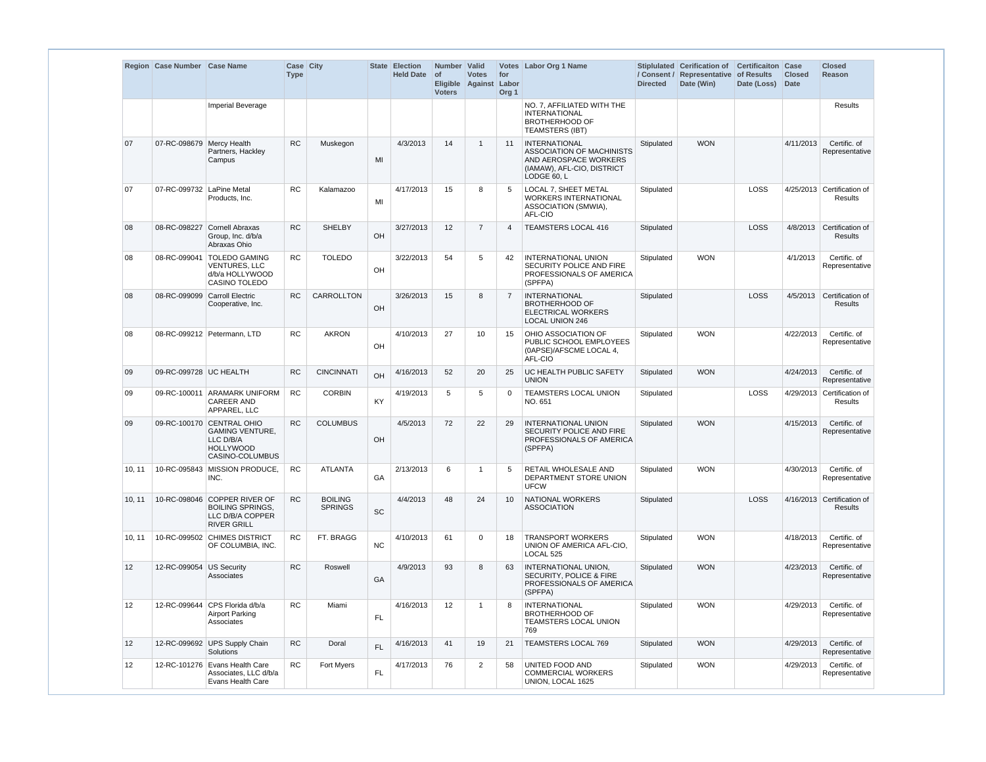|        | Region Case Number Case Name |                                                                                                         | Case City<br><b>Type</b> |                                  |            | <b>State Election</b><br><b>Held Date</b> | Number Valid<br>$ $ of<br><b>Voters</b> | <b>Votes</b><br>Eligible Against | for<br>Labor<br>Org <sub>1</sub> | Votes Labor Org 1 Name                                                                                                         | <b>Directed</b> | Stiplulated Cerification of<br>/ Consent / Representative<br>Date (Win) | <b>Certificaiton Case</b><br>of Results<br>Date (Loss) | <b>Closed</b><br><b>Date</b> | <b>Closed</b><br><b>Reason</b>               |
|--------|------------------------------|---------------------------------------------------------------------------------------------------------|--------------------------|----------------------------------|------------|-------------------------------------------|-----------------------------------------|----------------------------------|----------------------------------|--------------------------------------------------------------------------------------------------------------------------------|-----------------|-------------------------------------------------------------------------|--------------------------------------------------------|------------------------------|----------------------------------------------|
|        |                              | Imperial Beverage                                                                                       |                          |                                  |            |                                           |                                         |                                  |                                  | NO. 7, AFFILIATED WITH THE<br><b>INTERNATIONAL</b><br><b>BROTHERHOOD OF</b><br><b>TEAMSTERS (IBT)</b>                          |                 |                                                                         |                                                        |                              | <b>Results</b>                               |
| 07     | 07-RC-098679 Mercy Health    | Partners, Hackley<br>Campus                                                                             | <b>RC</b>                | Muskegon                         | MI         | 4/3/2013                                  | 14                                      | $\overline{1}$                   | 11                               | <b>INTERNATIONAL</b><br><b>ASSOCIATION OF MACHINISTS</b><br>AND AEROSPACE WORKERS<br>(IAMAW), AFL-CIO, DISTRICT<br>LODGE 60. L | Stipulated      | <b>WON</b>                                                              |                                                        | 4/11/2013                    | Certific. of<br>Representative               |
| 07     | 07-RC-099732 LaPine Metal    | Products, Inc.                                                                                          | <b>RC</b>                | Kalamazoo                        | MI         | 4/17/2013                                 | 15                                      | 8                                | 5                                | LOCAL 7, SHEET METAL<br><b>WORKERS INTERNATIONAL</b><br>ASSOCIATION (SMWIA),<br>AFL-CIO                                        | Stipulated      |                                                                         | <b>LOSS</b>                                            |                              | 4/25/2013 Certification of<br>Results        |
| 08     | 08-RC-098227                 | Cornell Abraxas<br>Group, Inc. d/b/a<br>Abraxas Ohio                                                    | <b>RC</b>                | <b>SHELBY</b>                    | OH         | 3/27/2013                                 | 12                                      | $\overline{7}$                   | $\boldsymbol{\Delta}$            | <b>TEAMSTERS LOCAL 416</b>                                                                                                     | Stipulated      |                                                                         | <b>LOSS</b>                                            |                              | 4/8/2013 Certification of<br><b>Results</b>  |
| 08     | 08-RC-099041                 | <b>TOLEDO GAMING</b><br><b>VENTURES, LLC</b><br>d/b/a HOLLYWOOD<br>CASINO TOLEDO                        | <b>RC</b>                | <b>TOLEDO</b>                    | OH         | 3/22/2013                                 | 54                                      | 5                                | 42                               | <b>INTERNATIONAL UNION</b><br>SECURITY POLICE AND FIRE<br>PROFESSIONALS OF AMERICA<br>(SPFPA)                                  | Stipulated      | <b>WON</b>                                                              |                                                        | 4/1/2013                     | Certific. of<br>Representative               |
| 08     | 08-RC-099099                 | <b>Carroll Electric</b><br>Cooperative, Inc.                                                            | <b>RC</b>                | <b>CARROLLTON</b>                | OH         | 3/26/2013                                 | 15                                      | 8                                | $\overline{7}$                   | <b>INTERNATIONAL</b><br><b>BROTHERHOOD OF</b><br><b>ELECTRICAL WORKERS</b><br><b>LOCAL UNION 246</b>                           | Stipulated      |                                                                         | <b>LOSS</b>                                            | 4/5/2013                     | Certification of<br>Results                  |
| 08     |                              | 08-RC-099212 Petermann, LTD                                                                             | <b>RC</b>                | <b>AKRON</b>                     | OH         | 4/10/2013                                 | 27                                      | 10                               | 15                               | OHIO ASSOCIATION OF<br>PUBLIC SCHOOL EMPLOYEES<br>(0APSE)/AFSCME LOCAL 4,<br>AFL-CIO                                           | Stipulated      | <b>WON</b>                                                              |                                                        | 4/22/2013                    | Certific. of<br>Representative               |
| 09     | 09-RC-099728 UC HEALTH       |                                                                                                         | <b>RC</b>                | <b>CINCINNATI</b>                | OH         | 4/16/2013                                 | 52                                      | 20                               | 25                               | UC HEALTH PUBLIC SAFETY<br><b>UNION</b>                                                                                        | Stipulated      | <b>WON</b>                                                              |                                                        | 4/24/2013                    | Certific. of<br>Representative               |
| 09     |                              | 09-RC-100011 ARAMARK UNIFORM<br><b>CAREER AND</b><br>APPAREL, LLC                                       | <b>RC</b>                | <b>CORBIN</b>                    | KY         | 4/19/2013                                 | 5                                       | 5                                | $\Omega$                         | TEAMSTERS LOCAL UNION<br>NO. 651                                                                                               | Stipulated      |                                                                         | LOSS                                                   |                              | 4/29/2013 Certification of<br>Results        |
| 09     |                              | 09-RC-100170 CENTRAL OHIO<br><b>GAMING VENTURE.</b><br>LLC D/B/A<br><b>HOLLYWOOD</b><br>CASINO-COLUMBUS | <b>RC</b>                | <b>COLUMBUS</b>                  | OH         | 4/5/2013                                  | 72                                      | 22                               | 29                               | <b>INTERNATIONAL UNION</b><br>SECURITY POLICE AND FIRE<br>PROFESSIONALS OF AMERICA<br>(SPFPA)                                  | Stipulated      | <b>WON</b>                                                              |                                                        | 4/15/2013                    | Certific. of<br>Representative               |
| 10, 11 |                              | 10-RC-095843 MISSION PRODUCE,<br>INC.                                                                   | RC                       | <b>ATLANTA</b>                   | GA         | 2/13/2013                                 | 6                                       | -1                               | 5                                | RETAIL WHOLESALE AND<br>DEPARTMENT STORE UNION<br><b>UFCW</b>                                                                  | Stipulated      | <b>WON</b>                                                              |                                                        | 4/30/2013                    | Certific. of<br>Representative               |
| 10, 11 |                              | 10-RC-098046 COPPER RIVER OF<br><b>BOILING SPRINGS.</b><br>LLC D/B/A COPPER<br><b>RIVER GRILL</b>       | RC                       | <b>BOILING</b><br><b>SPRINGS</b> | SC         | 4/4/2013                                  | 48                                      | 24                               | 10                               | NATIONAL WORKERS<br><b>ASSOCIATION</b>                                                                                         | Stipulated      |                                                                         | LOSS                                                   |                              | 4/16/2013 Certification of<br><b>Results</b> |
| 10, 11 |                              | 10-RC-099502 CHIMES DISTRICT<br>OF COLUMBIA. INC.                                                       | <b>RC</b>                | FT. BRAGG                        | <b>NC</b>  | 4/10/2013                                 | 61                                      | $\mathbf 0$                      | 18                               | <b>TRANSPORT WORKERS</b><br>UNION OF AMERICA AFL-CIO.<br>LOCAL 525                                                             | Stipulated      | <b>WON</b>                                                              |                                                        | 4/18/2013                    | Certific. of<br>Representative               |
| 12     | 12-RC-099054 US Security     | Associates                                                                                              | RC                       | Roswell                          | GA         | 4/9/2013                                  | 93                                      | 8                                | 63                               | <b>INTERNATIONAL UNION,</b><br><b>SECURITY, POLICE &amp; FIRE</b><br>PROFESSIONALS OF AMERICA<br>(SPFPA)                       | Stipulated      | <b>WON</b>                                                              |                                                        | 4/23/2013                    | Certific. of<br>Representative               |
| 12     | 12-RC-099644                 | CPS Florida d/b/a<br><b>Airport Parking</b><br>Associates                                               | <b>RC</b>                | Miami                            | <b>FL</b>  | 4/16/2013                                 | 12                                      | -1                               | 8                                | <b>INTERNATIONAL</b><br><b>BROTHERHOOD OF</b><br>TEAMSTERS LOCAL UNION<br>769                                                  | Stipulated      | <b>WON</b>                                                              |                                                        | 4/29/2013                    | Certific. of<br>Representative               |
| 12     |                              | 12-RC-099692 UPS Supply Chain<br>Solutions                                                              | <b>RC</b>                | Doral                            | <b>FL</b>  | 4/16/2013                                 | 41                                      | 19                               | 21                               | TEAMSTERS LOCAL 769                                                                                                            | Stipulated      | <b>WON</b>                                                              |                                                        | 4/29/2013                    | Certific. of<br>Representative               |
| 12     |                              | 12-RC-101276 Evans Health Care<br>Associates, LLC d/b/a<br>Evans Health Care                            | <b>RC</b>                | Fort Myers                       | ${\sf FL}$ | 4/17/2013                                 | 76                                      | $\overline{2}$                   | 58                               | UNITED FOOD AND<br><b>COMMERCIAL WORKERS</b><br>UNION, LOCAL 1625                                                              | Stipulated      | <b>WON</b>                                                              |                                                        | 4/29/2013                    | Certific. of<br>Representative               |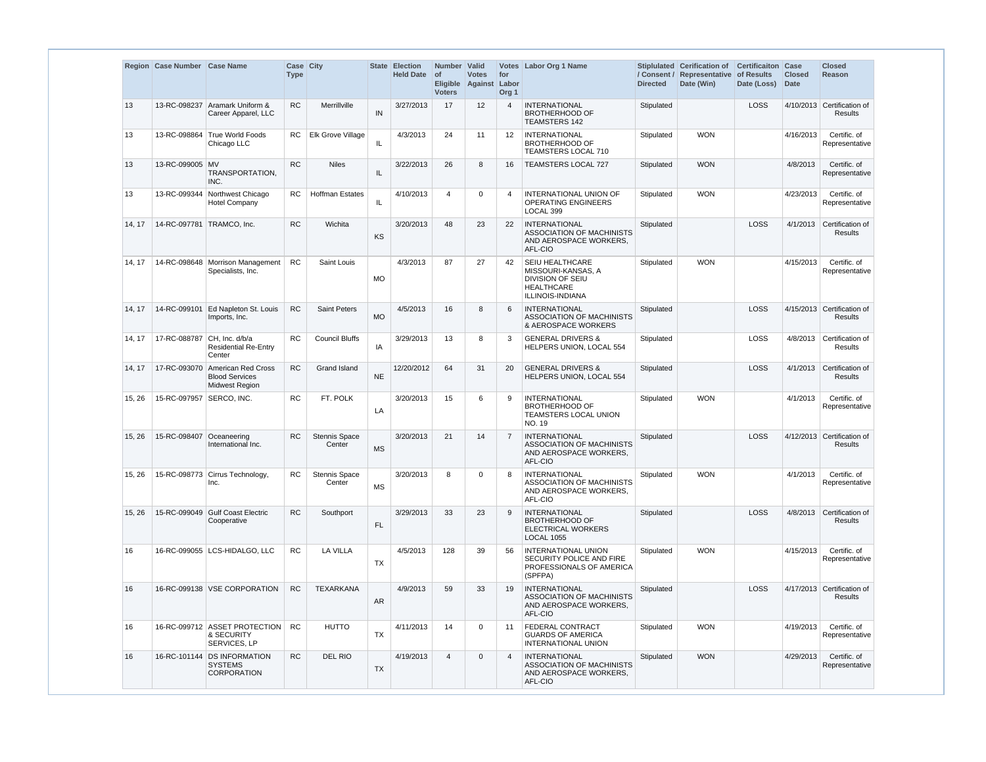|        | Region Case Number Case Name |                                                                      | Case City<br><b>Type</b> |                         |           | State Election<br><b>Held Date</b> | Number Valid<br><b>of</b><br><b>Voters</b> | <b>Votes</b><br>Eligible Against | for<br>Labor<br>Org <sub>1</sub> | Votes Labor Org 1 Name                                                                                    | <b>Directed</b> | Stiplulated Cerification of<br>/ Consent / Representative of Results<br>Date (Win) | <b>Certificaiton</b><br>Date (Loss) | Case<br><b>Closed</b><br><b>Date</b> | <b>Closed</b><br><b>Reason</b>        |
|--------|------------------------------|----------------------------------------------------------------------|--------------------------|-------------------------|-----------|------------------------------------|--------------------------------------------|----------------------------------|----------------------------------|-----------------------------------------------------------------------------------------------------------|-----------------|------------------------------------------------------------------------------------|-------------------------------------|--------------------------------------|---------------------------------------|
| 13     |                              | 13-RC-098237 Aramark Uniform &<br>Career Apparel, LLC                | <b>RC</b>                | Merrillville            | IN        | 3/27/2013                          | 17                                         | 12                               | $\overline{4}$                   | <b>INTERNATIONAL</b><br><b>BROTHERHOOD OF</b><br><b>TEAMSTERS 142</b>                                     | Stipulated      |                                                                                    | LOSS                                |                                      | 4/10/2013 Certification of<br>Results |
| 13     | 13-RC-098864                 | True World Foods<br>Chicago LLC                                      | RC.                      | Elk Grove Village       | IL.       | 4/3/2013                           | 24                                         | 11                               | 12                               | <b>INTERNATIONAL</b><br><b>BROTHERHOOD OF</b><br>TEAMSTERS LOCAL 710                                      | Stipulated      | <b>WON</b>                                                                         |                                     | 4/16/2013                            | Certific. of<br>Representative        |
| 13     | 13-RC-099005 MV              | TRANSPORTATION,<br>INC.                                              | <b>RC</b>                | <b>Niles</b>            | IL        | 3/22/2013                          | 26                                         | 8                                | 16                               | TEAMSTERS LOCAL 727                                                                                       | Stipulated      | <b>WON</b>                                                                         |                                     | 4/8/2013                             | Certific. of<br>Representative        |
| 13     | 13-RC-099344                 | Northwest Chicago<br><b>Hotel Company</b>                            | <b>RC</b>                | <b>Hoffman Estates</b>  | IL.       | 4/10/2013                          | $\overline{4}$                             | $\Omega$                         | $\overline{4}$                   | <b>INTERNATIONAL UNION OF</b><br><b>OPERATING ENGINEERS</b><br>LOCAL 399                                  | Stipulated      | <b>WON</b>                                                                         |                                     | 4/23/2013                            | Certific, of<br>Representative        |
| 14, 17 | 14-RC-097781 TRAMCO, Inc.    |                                                                      | <b>RC</b>                | Wichita                 | KS        | 3/20/2013                          | 48                                         | 23                               | 22                               | <b>INTERNATIONAL</b><br><b>ASSOCIATION OF MACHINISTS</b><br>AND AEROSPACE WORKERS.<br>AFL-CIO             | Stipulated      |                                                                                    | LOSS                                |                                      | 4/1/2013 Certification of<br>Results  |
| 14, 17 |                              | 14-RC-098648   Morrison Management<br>Specialists, Inc.              | <b>RC</b>                | Saint Louis             | <b>MO</b> | 4/3/2013                           | 87                                         | 27                               | 42                               | SEIU HEALTHCARE<br>MISSOURI-KANSAS, A<br>DIVISION OF SEIU<br><b>HEALTHCARE</b><br><b>ILLINOIS-INDIANA</b> | Stipulated      | <b>WON</b>                                                                         |                                     | 4/15/2013                            | Certific. of<br>Representative        |
| 14, 17 | 14-RC-099101                 | <b>Ed Napleton St. Louis</b><br>Imports, Inc.                        | <b>RC</b>                | <b>Saint Peters</b>     | <b>MO</b> | 4/5/2013                           | 16                                         | 8                                | 6                                | <b>INTERNATIONAL</b><br>ASSOCIATION OF MACHINISTS<br>& AEROSPACE WORKERS                                  | Stipulated      |                                                                                    | LOSS                                |                                      | 4/15/2013 Certification of<br>Results |
| 14, 17 | 17-RC-088787                 | CH, Inc. d/b/a<br><b>Residential Re-Entry</b><br>Center              | <b>RC</b>                | <b>Council Bluffs</b>   | IA        | 3/29/2013                          | 13                                         | 8                                | 3                                | <b>GENERAL DRIVERS &amp;</b><br>HELPERS UNION, LOCAL 554                                                  | Stipulated      |                                                                                    | LOSS                                | 4/8/2013                             | Certification of<br>Results           |
| 14, 17 | 17-RC-093070                 | American Red Cross<br><b>Blood Services</b><br><b>Midwest Region</b> | <b>RC</b>                | <b>Grand Island</b>     | <b>NE</b> | 12/20/2012                         | 64                                         | 31                               | 20                               | <b>GENERAL DRIVERS &amp;</b><br>HELPERS UNION, LOCAL 554                                                  | Stipulated      |                                                                                    | LOSS                                | 4/1/2013                             | Certification of<br>Results           |
| 15, 26 | 15-RC-097957                 | SERCO, INC.                                                          | <b>RC</b>                | FT. POLK                | LA        | 3/20/2013                          | 15                                         | 6                                | 9                                | <b>INTERNATIONAL</b><br><b>BROTHERHOOD OF</b><br>TEAMSTERS LOCAL UNION<br>NO. 19                          | Stipulated      | <b>WON</b>                                                                         |                                     | 4/1/2013                             | Certific. of<br>Representative        |
| 15, 26 | 15-RC-098407                 | Oceaneering<br>International Inc.                                    | <b>RC</b>                | Stennis Space<br>Center | <b>MS</b> | 3/20/2013                          | 21                                         | 14                               | $\overline{7}$                   | <b>INTERNATIONAL</b><br><b>ASSOCIATION OF MACHINISTS</b><br>AND AEROSPACE WORKERS,<br>AFL-CIO             | Stipulated      |                                                                                    | LOSS                                |                                      | 4/12/2013 Certification of<br>Results |
| 15, 26 |                              | 15-RC-098773 Cirrus Technology,<br>Inc.                              | <b>RC</b>                | Stennis Space<br>Center | <b>MS</b> | 3/20/2013                          | 8                                          | 0                                | 8                                | <b>INTERNATIONAL</b><br><b>ASSOCIATION OF MACHINISTS</b><br>AND AEROSPACE WORKERS,<br>AFL-CIO             | Stipulated      | <b>WON</b>                                                                         |                                     | 4/1/2013                             | Certific. of<br>Representative        |
| 15, 26 |                              | 15-RC-099049 Gulf Coast Electric<br>Cooperative                      | RC                       | Southport               | <b>FL</b> | 3/29/2013                          | 33                                         | 23                               | 9                                | <b>INTERNATIONAL</b><br><b>BROTHERHOOD OF</b><br><b>ELECTRICAL WORKERS</b><br><b>LOCAL 1055</b>           | Stipulated      |                                                                                    | LOSS                                |                                      | 4/8/2013 Certification of<br>Results  |
| 16     |                              | 16-RC-099055   LCS-HIDALGO, LLC                                      | RC                       | <b>LA VILLA</b>         | <b>TX</b> | 4/5/2013                           | 128                                        | 39                               | 56                               | <b>INTERNATIONAL UNION</b><br>SECURITY POLICE AND FIRE<br>PROFESSIONALS OF AMERICA<br>(SPFPA)             | Stipulated      | <b>WON</b>                                                                         |                                     | 4/15/2013                            | Certific. of<br>Representative        |
| 16     |                              | 16-RC-099138   VSE CORPORATION                                       | <b>RC</b>                | TEXARKANA               | <b>AR</b> | 4/9/2013                           | 59                                         | 33                               | 19                               | <b>INTERNATIONAL</b><br>ASSOCIATION OF MACHINISTS<br>AND AEROSPACE WORKERS,<br>AFL-CIO                    | Stipulated      |                                                                                    | LOSS                                |                                      | 4/17/2013 Certification of<br>Results |
| 16     |                              | 16-RC-099712 ASSET PROTECTION<br>& SECURITY<br>SERVICES, LP          | <b>RC</b>                | <b>HUTTO</b>            | <b>TX</b> | 4/11/2013                          | 14                                         | 0                                | 11                               | FEDERAL CONTRACT<br><b>GUARDS OF AMERICA</b><br><b>INTERNATIONAL UNION</b>                                | Stipulated      | <b>WON</b>                                                                         |                                     | 4/19/2013                            | Certific. of<br>Representative        |
| 16     |                              | 16-RC-101144 DS INFORMATION<br><b>SYSTEMS</b><br>CORPORATION         | <b>RC</b>                | DEL RIO                 | <b>TX</b> | 4/19/2013                          | $\overline{4}$                             | $\mathbf 0$                      | 4                                | <b>INTERNATIONAL</b><br><b>ASSOCIATION OF MACHINISTS</b><br>AND AEROSPACE WORKERS,<br>AFL-CIO             | Stipulated      | <b>WON</b>                                                                         |                                     | 4/29/2013                            | Certific. of<br>Representative        |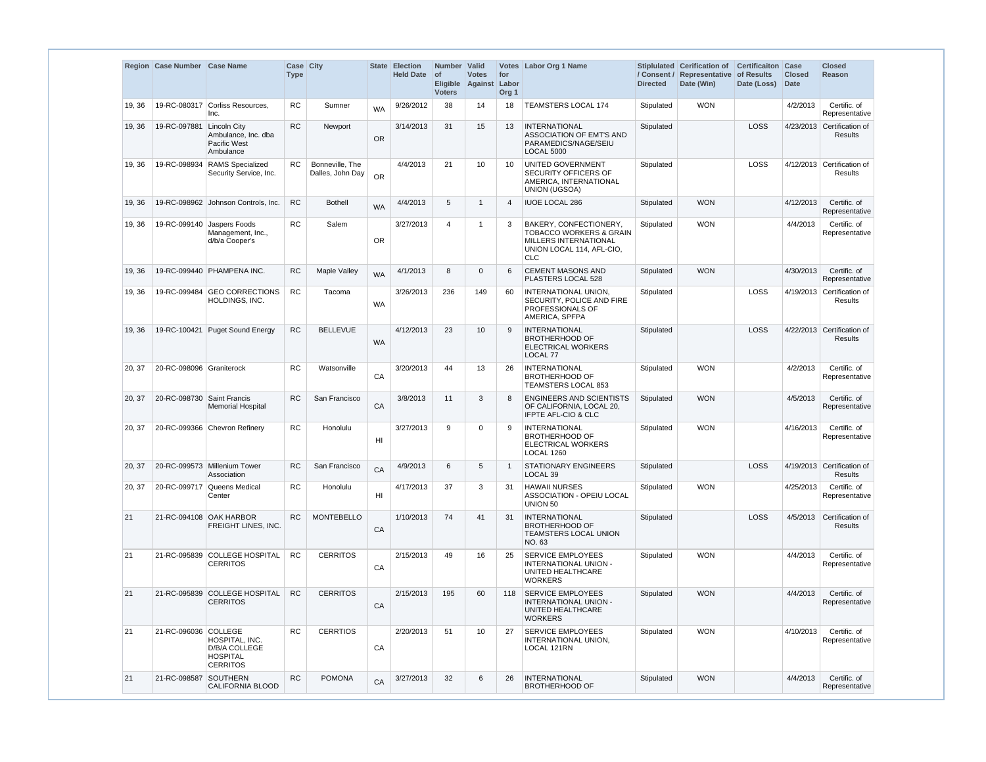|        | Region Case Number Case Name |                                                                       | <b>Case City</b><br><b>Type</b> |                                     |                 | <b>State Election</b><br><b>Held Date</b> | Number Valid<br>of<br><b>Voters</b> | <b>Votes</b><br>Eligible Against | for<br>Labor<br>Org <sub>1</sub> | Votes Labor Org 1 Name                                                                                                           | / Consent /<br><b>Directed</b> | Stiplulated Cerification of<br>Representative<br>Date (Win) | <b>Certificaiton Case</b><br>of Results<br>Date (Loss) | <b>Closed</b><br><b>Date</b> | <b>Closed</b><br><b>Reason</b>               |
|--------|------------------------------|-----------------------------------------------------------------------|---------------------------------|-------------------------------------|-----------------|-------------------------------------------|-------------------------------------|----------------------------------|----------------------------------|----------------------------------------------------------------------------------------------------------------------------------|--------------------------------|-------------------------------------------------------------|--------------------------------------------------------|------------------------------|----------------------------------------------|
| 19, 36 |                              | 19-RC-080317 Corliss Resources,<br>Inc.                               | <b>RC</b>                       | Sumner                              | <b>WA</b>       | 9/26/2012                                 | 38                                  | 14                               | 18                               | <b>TEAMSTERS LOCAL 174</b>                                                                                                       | Stipulated                     | <b>WON</b>                                                  |                                                        | 4/2/2013                     | Certific. of<br>Representative               |
| 19, 36 | 19-RC-097881   Lincoln City  | Ambulance, Inc. dba<br>Pacific West<br>Ambulance                      | <b>RC</b>                       | Newport                             | <b>OR</b>       | 3/14/2013                                 | 31                                  | 15                               | 13                               | <b>INTERNATIONAL</b><br>ASSOCIATION OF EMT'S AND<br>PARAMEDICS/NAGE/SEIU<br><b>LOCAL 5000</b>                                    | Stipulated                     |                                                             | LOSS                                                   |                              | 4/23/2013 Certification of<br><b>Results</b> |
| 19, 36 | 19-RC-098934                 | <b>RAMS</b> Specialized<br>Security Service, Inc.                     | <b>RC</b>                       | Bonneville, The<br>Dalles, John Day | <b>OR</b>       | 4/4/2013                                  | 21                                  | 10                               | 10                               | UNITED GOVERNMENT<br>SECURITY OFFICERS OF<br>AMERICA, INTERNATIONAL<br><b>UNION (UGSOA)</b>                                      | Stipulated                     |                                                             | LOSS                                                   |                              | 4/12/2013 Certification of<br>Results        |
| 19, 36 |                              | 19-RC-098962 Johnson Controls, Inc.                                   | <b>RC</b>                       | <b>Bothell</b>                      | <b>WA</b>       | 4/4/2013                                  | 5                                   | $\overline{1}$                   | $\overline{4}$                   | <b>IUOE LOCAL 286</b>                                                                                                            | Stipulated                     | <b>WON</b>                                                  |                                                        | 4/12/2013                    | Certific. of<br>Representative               |
| 19, 36 |                              | 19-RC-099140 Jaspers Foods<br>Management, Inc.,<br>d/b/a Cooper's     | <b>RC</b>                       | Salem                               | <b>OR</b>       | 3/27/2013                                 | $\overline{4}$                      | -1                               | 3                                | BAKERY, CONFECTIONERY,<br><b>TOBACCO WORKERS &amp; GRAIN</b><br>MILLERS INTERNATIONAL<br>UNION LOCAL 114, AFL-CIO,<br><b>CLC</b> | Stipulated                     | <b>WON</b>                                                  |                                                        | 4/4/2013                     | Certific. of<br>Representative               |
| 19, 36 |                              | 19-RC-099440   PHAMPENA INC.                                          | <b>RC</b>                       | Maple Valley                        | <b>WA</b>       | 4/1/2013                                  | 8                                   | $\Omega$                         | 6                                | <b>CEMENT MASONS AND</b><br>PLASTERS LOCAL 528                                                                                   | Stipulated                     | <b>WON</b>                                                  |                                                        | 4/30/2013                    | Certific. of<br>Representative               |
| 19, 36 |                              | 19-RC-099484 GEO CORRECTIONS<br><b>HOLDINGS, INC.</b>                 | <b>RC</b>                       | Tacoma                              | <b>WA</b>       | 3/26/2013                                 | 236                                 | 149                              | 60                               | INTERNATIONAL UNION,<br>SECURITY, POLICE AND FIRE<br>PROFESSIONALS OF<br>AMERICA, SPFPA                                          | Stipulated                     |                                                             | <b>LOSS</b>                                            |                              | 4/19/2013 Certification of<br><b>Results</b> |
| 19, 36 |                              | 19-RC-100421 Puget Sound Energy                                       | RC                              | <b>BELLEVUE</b>                     | <b>WA</b>       | 4/12/2013                                 | 23                                  | 10                               | 9                                | <b>INTERNATIONAL</b><br><b>BROTHERHOOD OF</b><br>ELECTRICAL WORKERS<br>LOCAL 77                                                  | Stipulated                     |                                                             | <b>LOSS</b>                                            |                              | 4/22/2013 Certification of<br><b>Results</b> |
| 20, 37 | 20-RC-098096 Graniterock     |                                                                       | <b>RC</b>                       | Watsonville                         | CA              | 3/20/2013                                 | 44                                  | 13                               | 26                               | <b>INTERNATIONAL</b><br><b>BROTHERHOOD OF</b><br><b>TEAMSTERS LOCAL 853</b>                                                      | Stipulated                     | <b>WON</b>                                                  |                                                        | 4/2/2013                     | Certific. of<br>Representative               |
| 20, 37 | 20-RC-098730 Saint Francis   | <b>Memorial Hospital</b>                                              | <b>RC</b>                       | San Francisco                       | CA              | 3/8/2013                                  | 11                                  | 3                                | 8                                | <b>ENGINEERS AND SCIENTISTS</b><br>OF CALIFORNIA, LOCAL 20,<br><b>IFPTE AFL-CIO &amp; CLC</b>                                    | Stipulated                     | <b>WON</b>                                                  |                                                        | 4/5/2013                     | Certific. of<br>Representative               |
| 20, 37 |                              | 20-RC-099366 Chevron Refinery                                         | <b>RC</b>                       | Honolulu                            | H <sub>II</sub> | 3/27/2013                                 | 9                                   | $\mathbf 0$                      | 9                                | INTERNATIONAL<br><b>BROTHERHOOD OF</b><br><b>ELECTRICAL WORKERS</b><br>LOCAL 1260                                                | Stipulated                     | <b>WON</b>                                                  |                                                        | 4/16/2013                    | Certific, of<br>Representative               |
| 20, 37 |                              | 20-RC-099573 Millenium Tower<br>Association                           | RC                              | San Francisco                       | CA              | 4/9/2013                                  | 6                                   | 5                                |                                  | <b>STATIONARY ENGINEERS</b><br>LOCAL <sub>39</sub>                                                                               | Stipulated                     |                                                             | LOSS                                                   |                              | 4/19/2013 Certification of<br><b>Results</b> |
| 20, 37 |                              | 20-RC-099717 Queens Medical<br>Center                                 | <b>RC</b>                       | Honolulu                            | H <sub>l</sub>  | 4/17/2013                                 | 37                                  | 3                                | 31                               | <b>HAWAII NURSES</b><br><b>ASSOCIATION - OPEIU LOCAL</b><br>UNION 50                                                             | Stipulated                     | <b>WON</b>                                                  |                                                        | 4/25/2013                    | Certific. of<br>Representative               |
| 21     | 21-RC-094108 OAK HARBOR      | FREIGHT LINES, INC.                                                   | <b>RC</b>                       | <b>MONTEBELLO</b>                   | CA              | 1/10/2013                                 | 74                                  | 41                               | 31                               | INTERNATIONAL<br><b>BROTHERHOOD OF</b><br><b>TEAMSTERS LOCAL UNION</b><br>NO. 63                                                 | Stipulated                     |                                                             | <b>LOSS</b>                                            | 4/5/2013                     | Certification of<br>Results                  |
| 21     |                              | 21-RC-095839 COLLEGE HOSPITAL<br><b>CERRITOS</b>                      | <b>RC</b>                       | <b>CERRITOS</b>                     | CA              | 2/15/2013                                 | 49                                  | 16                               | 25                               | <b>SERVICE EMPLOYEES</b><br>INTERNATIONAL UNION -<br>UNITED HEALTHCARE<br><b>WORKERS</b>                                         | Stipulated                     | <b>WON</b>                                                  |                                                        | 4/4/2013                     | Certific. of<br>Representative               |
| 21     |                              | 21-RC-095839 COLLEGE HOSPITAL<br><b>CERRITOS</b>                      | <b>RC</b>                       | <b>CERRITOS</b>                     | CA              | 2/15/2013                                 | 195                                 | 60                               | 118                              | <b>SERVICE EMPLOYEES</b><br>INTERNATIONAL UNION -<br>UNITED HEALTHCARE<br><b>WORKERS</b>                                         | Stipulated                     | <b>WON</b>                                                  |                                                        | 4/4/2013                     | Certific. of<br>Representative               |
| 21     | 21-RC-096036 COLLEGE         | HOSPITAL, INC.<br>D/B/A COLLEGE<br><b>HOSPITAL</b><br><b>CERRITOS</b> | <b>RC</b>                       | <b>CERRTIOS</b>                     | CA              | 2/20/2013                                 | 51                                  | 10                               | 27                               | <b>SERVICE EMPLOYEES</b><br>INTERNATIONAL UNION,<br>LOCAL 121RN                                                                  | Stipulated                     | <b>WON</b>                                                  |                                                        | 4/10/2013                    | Certific. of<br>Representative               |
| 21     | 21-RC-098587                 | <b>SOUTHERN</b><br><b>CALIFORNIA BLOOD</b>                            | <b>RC</b>                       | <b>POMONA</b>                       | CA              | 3/27/2013                                 | 32                                  | 6                                | 26                               | <b>INTERNATIONAL</b><br><b>BROTHERHOOD OF</b>                                                                                    | Stipulated                     | <b>WON</b>                                                  |                                                        | 4/4/2013                     | Certific. of<br>Representative               |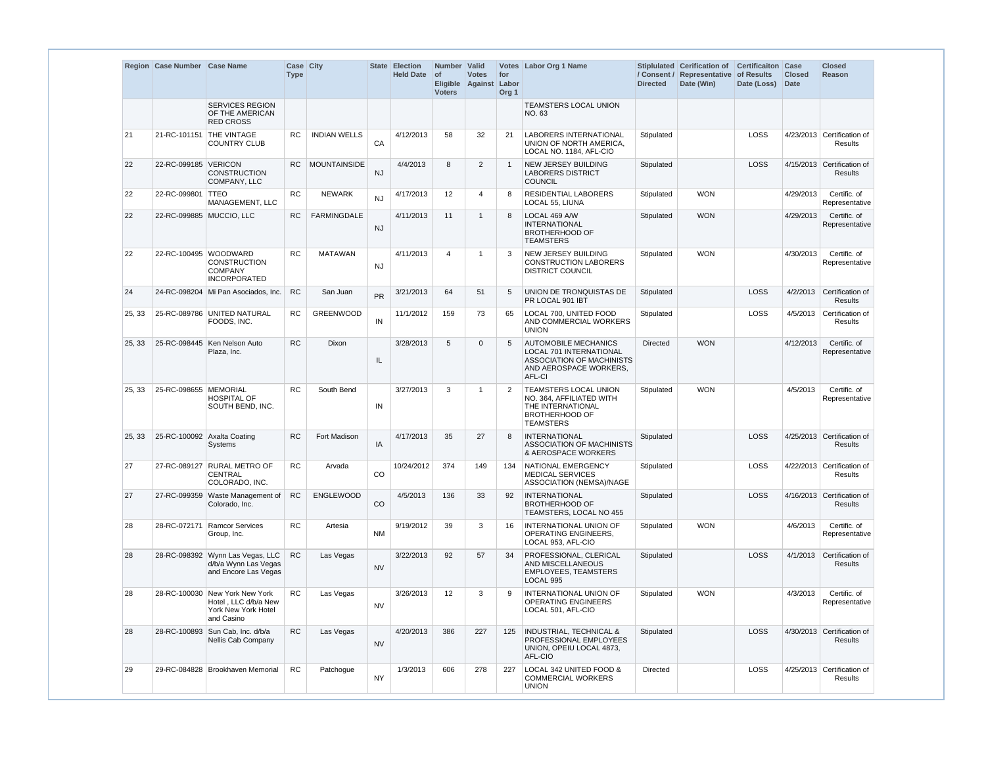|        | Region Case Number Case Name |                                                                                             | Case City<br><b>Type</b> |                     |           | <b>State Election</b><br>Held Date of | Number Valid<br><b>Voters</b> | <b>Votes</b><br>Eligible Against Labor | for<br>Org <sub>1</sub> | <b>Votes</b> Labor Org 1 Name                                                                                                  | <b>Directed</b> | Stiplulated Cerification of<br>/ Consent / Representative of Results<br>Date (Win) | <b>Certificaiton Case</b><br>Date (Loss) | <b>Closed</b><br><b>Date</b> | <b>Closed</b><br><b>Reason</b>               |
|--------|------------------------------|---------------------------------------------------------------------------------------------|--------------------------|---------------------|-----------|---------------------------------------|-------------------------------|----------------------------------------|-------------------------|--------------------------------------------------------------------------------------------------------------------------------|-----------------|------------------------------------------------------------------------------------|------------------------------------------|------------------------------|----------------------------------------------|
|        |                              | <b>SERVICES REGION</b><br>OF THE AMERICAN<br><b>RED CROSS</b>                               |                          |                     |           |                                       |                               |                                        |                         | TEAMSTERS LOCAL UNION<br>NO. 63                                                                                                |                 |                                                                                    |                                          |                              |                                              |
| 21     | 21-RC-101151                 | <b>THE VINTAGE</b><br><b>COUNTRY CLUB</b>                                                   | <b>RC</b>                | <b>INDIAN WELLS</b> | CA        | 4/12/2013                             | 58                            | 32                                     | 21                      | <b>LABORERS INTERNATIONAL</b><br>UNION OF NORTH AMERICA,<br>LOCAL NO. 1184, AFL-CIO                                            | Stipulated      |                                                                                    | <b>LOSS</b>                              |                              | 4/23/2013 Certification of<br><b>Results</b> |
| 22     | 22-RC-099185 VERICON         | <b>CONSTRUCTION</b><br>COMPANY, LLC                                                         | <b>RC</b>                | <b>MOUNTAINSIDE</b> | <b>NJ</b> | 4/4/2013                              | 8                             | 2                                      | -1                      | <b>NEW JERSEY BUILDING</b><br><b>LABORERS DISTRICT</b><br>COUNCIL                                                              | Stipulated      |                                                                                    | <b>LOSS</b>                              |                              | 4/15/2013 Certification of<br><b>Results</b> |
| 22     | 22-RC-099801                 | <b>TTEO</b><br>MANAGEMENT, LLC                                                              | <b>RC</b>                | <b>NEWARK</b>       | <b>NJ</b> | 4/17/2013                             | 12                            | 4                                      | 8                       | <b>RESIDENTIAL LABORERS</b><br>LOCAL 55, LIUNA                                                                                 | Stipulated      | <b>WON</b>                                                                         |                                          | 4/29/2013                    | Certific. of<br>Representative               |
| 22     | 22-RC-099885 MUCCIO, LLC     |                                                                                             | <b>RC</b>                | <b>FARMINGDALE</b>  | <b>NJ</b> | 4/11/2013                             | 11                            | -1                                     | 8                       | LOCAL 469 A/W<br><b>INTERNATIONAL</b><br><b>BROTHERHOOD OF</b><br><b>TEAMSTERS</b>                                             | Stipulated      | <b>WON</b>                                                                         |                                          | 4/29/2013                    | Certific. of<br>Representative               |
| 22     | 22-RC-100495 WOODWARD        | <b>CONSTRUCTION</b><br><b>COMPANY</b><br><b>INCORPORATED</b>                                | <b>RC</b>                | <b>MATAWAN</b>      | <b>NJ</b> | 4/11/2013                             | $\overline{4}$                | -1                                     | 3                       | NEW JERSEY BUILDING<br><b>CONSTRUCTION LABORERS</b><br><b>DISTRICT COUNCIL</b>                                                 | Stipulated      | <b>WON</b>                                                                         |                                          | 4/30/2013                    | Certific. of<br>Representative               |
| 24     |                              | 24-RC-098204 Mi Pan Asociados, Inc.                                                         | <b>RC</b>                | San Juan            | <b>PR</b> | 3/21/2013                             | 64                            | 51                                     | 5                       | UNION DE TRONQUISTAS DE<br>PR LOCAL 901 IBT                                                                                    | Stipulated      |                                                                                    | <b>LOSS</b>                              |                              | 4/2/2013 Certification of<br><b>Results</b>  |
| 25, 33 |                              | 25-RC-089786 UNITED NATURAL<br>FOODS, INC.                                                  | <b>RC</b>                | <b>GREENWOOD</b>    | IN        | 11/1/2012                             | 159                           | 73                                     | 65                      | LOCAL 700, UNITED FOOD<br>AND COMMERCIAL WORKERS<br><b>UNION</b>                                                               | Stipulated      |                                                                                    | <b>LOSS</b>                              |                              | 4/5/2013 Certification of<br><b>Results</b>  |
| 25, 33 |                              | 25-RC-098445   Ken Nelson Auto<br>Plaza, Inc.                                               | <b>RC</b>                | <b>Dixon</b>        | IL        | 3/28/2013                             | 5                             | $\Omega$                               | 5                       | <b>AUTOMOBILE MECHANICS</b><br><b>LOCAL 701 INTERNATIONAL</b><br>ASSOCIATION OF MACHINISTS<br>AND AEROSPACE WORKERS,<br>AFL-CI | <b>Directed</b> | <b>WON</b>                                                                         |                                          | 4/12/2013                    | Certific. of<br>Representative               |
| 25, 33 | 25-RC-098655 MEMORIAL        | <b>HOSPITAL OF</b><br>SOUTH BEND, INC.                                                      | <b>RC</b>                | South Bend          | IN        | 3/27/2013                             | 3                             | -1                                     | 2                       | TEAMSTERS LOCAL UNION<br>NO. 364, AFFILIATED WITH<br>THE INTERNATIONAL<br><b>BROTHERHOOD OF</b><br><b>TEAMSTERS</b>            | Stipulated      | <b>WON</b>                                                                         |                                          | 4/5/2013                     | Certific. of<br>Representative               |
| 25, 33 | 25-RC-100092 Axalta Coating  | Systems                                                                                     | <b>RC</b>                | Fort Madison        | IA        | 4/17/2013                             | 35                            | 27                                     | 8                       | <b>INTERNATIONAL</b><br><b>ASSOCIATION OF MACHINISTS</b><br>& AEROSPACE WORKERS                                                | Stipulated      |                                                                                    | <b>LOSS</b>                              |                              | 4/25/2013 Certification of<br><b>Results</b> |
| 27     |                              | 27-RC-089127 RURAL METRO OF<br><b>CENTRAL</b><br>COLORADO. INC.                             | <b>RC</b>                | Arvada              | <b>CO</b> | 10/24/2012                            | 374                           | 149                                    | 134                     | NATIONAL EMERGENCY<br><b>MEDICAL SERVICES</b><br>ASSOCIATION (NEMSA)/NAGE                                                      | Stipulated      |                                                                                    | LOSS                                     |                              | 4/22/2013 Certification of<br>Results        |
| 27     |                              | 27-RC-099359 Waste Management of<br>Colorado, Inc.                                          | <b>RC</b>                | <b>ENGLEWOOD</b>    | CO        | 4/5/2013                              | 136                           | 33                                     | 92                      | <b>INTERNATIONAL</b><br><b>BROTHERHOOD OF</b><br>TEAMSTERS, LOCAL NO 455                                                       | Stipulated      |                                                                                    | LOSS                                     |                              | 4/16/2013 Certification of<br><b>Results</b> |
| 28     |                              | 28-RC-072171 Ramcor Services<br>Group, Inc.                                                 | <b>RC</b>                | Artesia             | <b>NM</b> | 9/19/2012                             | 39                            | 3                                      | 16                      | INTERNATIONAL UNION OF<br>OPERATING ENGINEERS,<br>LOCAL 953, AFL-CIO                                                           | Stipulated      | <b>WON</b>                                                                         |                                          | 4/6/2013                     | Certific. of<br>Representative               |
| 28     |                              | 28-RC-098392 Wynn Las Vegas, LLC<br>d/b/a Wynn Las Vegas<br>and Encore Las Vegas            | <b>RC</b>                | Las Vegas           | <b>NV</b> | 3/22/2013                             | 92                            | 57                                     | 34                      | PROFESSIONAL, CLERICAL<br>AND MISCELLANEOUS<br><b>EMPLOYEES, TEAMSTERS</b><br>LOCAL 995                                        | Stipulated      |                                                                                    | LOSS                                     |                              | 4/1/2013 Certification of<br><b>Results</b>  |
| 28     |                              | 28-RC-100030 New York New York<br>Hotel, LLC d/b/a New<br>York New York Hotel<br>and Casino | <b>RC</b>                | Las Vegas           | <b>NV</b> | 3/26/2013                             | 12                            | 3                                      | 9                       | INTERNATIONAL UNION OF<br>OPERATING ENGINEERS<br>LOCAL 501, AFL-CIO                                                            | Stipulated      | <b>WON</b>                                                                         |                                          | 4/3/2013                     | Certific. of<br>Representative               |
| 28     |                              | 28-RC-100893 Sun Cab, Inc. d/b/a<br>Nellis Cab Company                                      | RC                       | Las Vegas           | <b>NV</b> | 4/20/2013                             | 386                           | 227                                    | 125                     | <b>INDUSTRIAL, TECHNICAL &amp;</b><br>PROFESSIONAL EMPLOYEES<br>UNION, OPEIU LOCAL 4873,<br>AFL-CIO                            | Stipulated      |                                                                                    | LOSS                                     |                              | 4/30/2013 Certification of<br><b>Results</b> |
| 29     |                              | 29-RC-084828   Brookhaven Memorial                                                          | <b>RC</b>                | Patchogue           | <b>NY</b> | 1/3/2013                              | 606                           | 278                                    | 227                     | LOCAL 342 UNITED FOOD &<br><b>COMMERCIAL WORKERS</b><br><b>UNION</b>                                                           | Directed        |                                                                                    | LOSS                                     |                              | 4/25/2013 Certification of<br>Results        |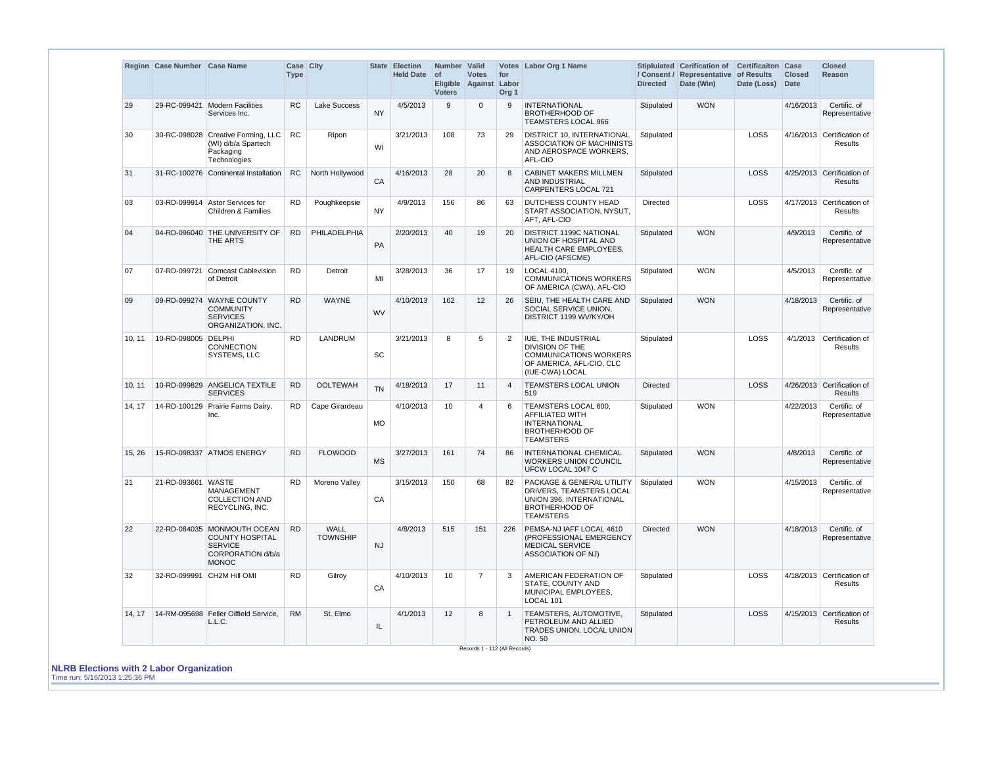|        | Region Case Number Case Name |                                                                                                              | <b>Case City</b><br><b>Type</b> |                                |           | <b>State Election</b><br><b>Held Date</b> | Number Valid<br><b>of</b><br><b>Voters</b> | <b>Votes</b><br>Eligible Against Labor | for<br>Org <sub>1</sub> | Votes Labor Org 1 Name                                                                                                                               | <b>Directed</b> | Stiplulated Cerification of<br>/ Consent / Representative of Results<br>Date (Win) | <b>Certificaiton</b><br>Date (Loss) | Case<br><b>Closed</b><br>Date | <b>Closed</b><br><b>Reason</b>               |
|--------|------------------------------|--------------------------------------------------------------------------------------------------------------|---------------------------------|--------------------------------|-----------|-------------------------------------------|--------------------------------------------|----------------------------------------|-------------------------|------------------------------------------------------------------------------------------------------------------------------------------------------|-----------------|------------------------------------------------------------------------------------|-------------------------------------|-------------------------------|----------------------------------------------|
| 29     | 29-RC-099421                 | Modern Facilities<br>Services Inc.                                                                           | <b>RC</b>                       | <b>Lake Success</b>            | <b>NY</b> | 4/5/2013                                  | 9                                          | $\Omega$                               | 9                       | <b>INTERNATIONAL</b><br><b>BROTHERHOOD OF</b><br><b>TEAMSTERS LOCAL 966</b>                                                                          | Stipulated      | <b>WON</b>                                                                         |                                     | 4/16/2013                     | Certific. of<br>Representative               |
| 30     | 30-RC-098028                 | Creative Forming, LLC<br>(WI) d/b/a Spartech<br>Packaging<br>Technologies                                    | <b>RC</b>                       | Ripon                          | WI        | 3/21/2013                                 | 108                                        | 73                                     | 29                      | DISTRICT 10, INTERNATIONAL<br><b>ASSOCIATION OF MACHINISTS</b><br>AND AEROSPACE WORKERS.<br>AFL-CIO                                                  | Stipulated      |                                                                                    | LOSS                                |                               | 4/16/2013 Certification of<br>Results        |
| 31     |                              | 31-RC-100276 Continental Installation                                                                        | <b>RC</b>                       | North Hollywood                | CA        | 4/16/2013                                 | 28                                         | 20                                     | 8                       | <b>CABINET MAKERS MILLMEN</b><br>AND INDUSTRIAL<br><b>CARPENTERS LOCAL 721</b>                                                                       | Stipulated      |                                                                                    | LOSS                                |                               | 4/25/2013 Certification of<br>Results        |
| 03     |                              | 03-RD-099914 Astor Services for<br><b>Children &amp; Families</b>                                            | <b>RD</b>                       | Poughkeepsie                   | <b>NY</b> | 4/9/2013                                  | 156                                        | 86                                     | 63                      | DUTCHESS COUNTY HEAD<br>START ASSOCIATION, NYSUT,<br>AFT, AFL-CIO                                                                                    | Directed        |                                                                                    | LOSS                                |                               | 4/17/2013 Certification of<br><b>Results</b> |
| 04     |                              | 04-RD-096040 THE UNIVERSITY OF<br>THE ARTS                                                                   | <b>RD</b>                       | PHILADELPHIA                   | PA        | 2/20/2013                                 | 40                                         | 19                                     | 20                      | <b>DISTRICT 1199C NATIONAL</b><br>UNION OF HOSPITAL AND<br><b>HEALTH CARE EMPLOYEES,</b><br>AFL-CIO (AFSCME)                                         | Stipulated      | <b>WON</b>                                                                         |                                     | 4/9/2013                      | Certific. of<br>Representative               |
| 07     | 07-RD-099721                 | <b>Comcast Cablevision</b><br>of Detroit                                                                     | <b>RD</b>                       | Detroit                        | MI        | 3/28/2013                                 | 36                                         | 17                                     | 19                      | LOCAL 4100,<br><b>COMMUNICATIONS WORKERS</b><br>OF AMERICA (CWA), AFL-CIO                                                                            | Stipulated      | <b>WON</b>                                                                         |                                     | 4/5/2013                      | Certific, of<br>Representative               |
| 09     |                              | 09-RD-099274 WAYNE COUNTY<br><b>COMMUNITY</b><br><b>SERVICES</b><br>ORGANIZATION, INC.                       | <b>RD</b>                       | <b>WAYNE</b>                   | <b>WV</b> | 4/10/2013                                 | 162                                        | 12                                     | 26                      | SEIU, THE HEALTH CARE AND<br>SOCIAL SERVICE UNION,<br>DISTRICT 1199 WV/KY/OH                                                                         | Stipulated      | <b>WON</b>                                                                         |                                     | 4/18/2013                     | Certific. of<br>Representative               |
| 10, 11 | 10-RD-098005 DELPHI          | CONNECTION<br>SYSTEMS, LLC                                                                                   | <b>RD</b>                       | <b>LANDRUM</b>                 | SC        | 3/21/2013                                 | 8                                          | 5                                      | 2                       | IUE, THE INDUSTRIAL<br>DIVISION OF THE<br><b>COMMUNICATIONS WORKERS</b><br>OF AMERICA, AFL-CIO, CLC<br>(IUE-CWA) LOCAL                               | Stipulated      |                                                                                    | <b>LOSS</b>                         | 4/1/2013                      | Certification of<br>Results                  |
| 10, 11 |                              | 10-RD-099829 ANGELICA TEXTILE<br><b>SERVICES</b>                                                             | <b>RD</b>                       | <b>OOLTEWAH</b>                | <b>TN</b> | 4/18/2013                                 | 17                                         | 11                                     | 4                       | <b>TEAMSTERS LOCAL UNION</b><br>519                                                                                                                  | <b>Directed</b> |                                                                                    | LOSS                                |                               | 4/26/2013 Certification of<br>Results        |
| 14, 17 |                              | 14-RD-100129 Prairie Farms Dairy,<br>Inc.                                                                    | <b>RD</b>                       | Cape Girardeau                 | <b>MO</b> | 4/10/2013                                 | 10                                         | $\overline{4}$                         | 6                       | TEAMSTERS LOCAL 600,<br><b>AFFILIATED WITH</b><br><b>INTERNATIONAL</b><br><b>BROTHERHOOD OF</b><br><b>TEAMSTERS</b>                                  | Stipulated      | <b>WON</b>                                                                         |                                     | 4/22/2013                     | Certific. of<br>Representative               |
| 15, 26 |                              | 15-RD-098337 ATMOS ENERGY                                                                                    | <b>RD</b>                       | <b>FLOWOOD</b>                 | MS        | 3/27/2013                                 | 161                                        | 74                                     | 86                      | <b>INTERNATIONAL CHEMICAL</b><br>WORKERS UNION COUNCIL<br>UFCW LOCAL 1047 C                                                                          | Stipulated      | <b>WON</b>                                                                         |                                     | 4/8/2013                      | Certific. of<br>Representative               |
| 21     | 21-RD-093661 WASTE           | <b>MANAGEMENT</b><br><b>COLLECTION AND</b><br>RECYCLING, INC.                                                | <b>RD</b>                       | Moreno Valley                  | CA        | 3/15/2013                                 | 150                                        | 68                                     | 82                      | <b>PACKAGE &amp; GENERAL UTILITY Stipulated</b><br>DRIVERS, TEAMSTERS LOCAL<br>UNION 396, INTERNATIONAL<br><b>BROTHERHOOD OF</b><br><b>TEAMSTERS</b> |                 | <b>WON</b>                                                                         |                                     | 4/15/2013                     | Certific. of<br>Representative               |
| 22     |                              | 22-RD-084035 MONMOUTH OCEAN<br><b>COUNTY HOSPITAL</b><br><b>SERVICE</b><br>CORPORATION d/b/a<br><b>MONOC</b> | <b>RD</b>                       | <b>WALL</b><br><b>TOWNSHIP</b> | <b>NJ</b> | 4/8/2013                                  | 515                                        | 151                                    | 226                     | PEMSA-NJ IAFF LOCAL 4610<br>(PROFESSIONAL EMERGENCY<br><b>MEDICAL SERVICE</b><br><b>ASSOCIATION OF NJ)</b>                                           | <b>Directed</b> | <b>WON</b>                                                                         |                                     | 4/18/2013                     | Certific. of<br>Representative               |
| 32     |                              | 32-RD-099991 CH2M Hill OMI                                                                                   | <b>RD</b>                       | Gilroy                         | CA        | 4/10/2013                                 | 10                                         | $\overline{7}$                         | 3                       | AMERICAN FEDERATION OF<br>STATE, COUNTY AND<br>MUNICIPAL EMPLOYEES,<br>LOCAL 101                                                                     | Stipulated      |                                                                                    | LOSS                                |                               | 4/18/2013 Certification of<br>Results        |
| 14, 17 |                              | 14-RM-095698 Feller Oilfield Service,<br>L.L.C.                                                              | <b>RM</b>                       | St. Elmo                       | IL.       | 4/1/2013                                  | 12                                         | 8                                      | $\overline{1}$          | TEAMSTERS, AUTOMOTIVE,<br>PETROLEUM AND ALLIED<br>TRADES UNION, LOCAL UNION<br>NO. 50                                                                | Stipulated      |                                                                                    | <b>LOSS</b>                         |                               | 4/15/2013 Certification of<br><b>Results</b> |

**NLRB Elections with 2 Labor Organization** Time run: 5/16/2013 1:25:36 PM